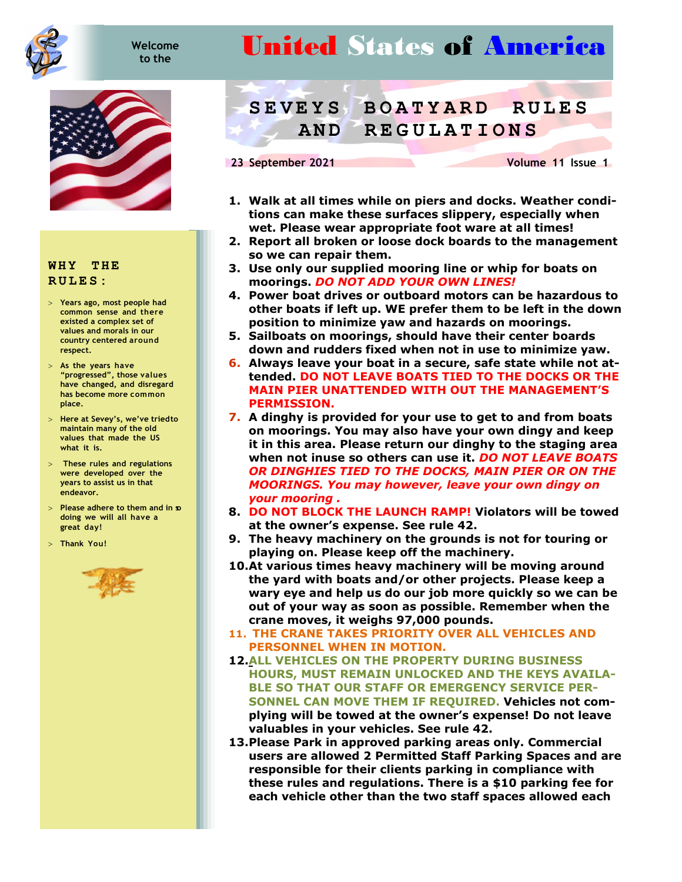

## **Welcome**

## *telcome* **United States of America**



## **WHY THE RULES:**

- **Years ago, most people had common sense and there existed a complex set of values and morals in our country centered around respect.**
- **As the years have "progressed", those values have changed, and disregard has become more common place.**
- > Here at Sevey's, we've tried to **maintain many of the old values that made the US what it is.**
- **These rules and regulations were developed over the years to assist us in that endeavor.**
- **Please adhere to them and in so doing we will all have a great day!**
- **Thank You!**



## **SEVEYS B OATYARD RULES AND REGULATIONS**

**23 September 2021** Volume 11 Issue 1

- **1. Walk at all times while on piers and docks. Weather conditions can make these surfaces slippery, especially when wet. Please wear appropriate foot ware at all times!**
- **2. Report all broken or loose dock boards to the management so we can repair them.**
- **3. Use only our supplied mooring line or whip for boats on moorings.** *DO NOT ADD YOUR OWN LINES!*
- **4. Power boat drives or outboard motors can be hazardous to other boats if left up. WE prefer them to be left in the down position to minimize yaw and hazards on moorings.**
- **5. Sailboats on moorings, should have their center boards down and rudders fixed when not in use to minimize yaw.**
- **6. Always leave your boat in a secure, safe state while not attended. DO NOT LEAVE BOATS TIED TO THE DOCKS OR THE MAIN PIER UNATTENDED WITH OUT THE MANAGEMENT'S PERMISSION.**
- **7. A dinghy is provided for your use to get to and from boats on moorings. You may also have your own dingy and keep it in this area. Please return our dinghy to the staging area when not in use so others can use it.** *DO NOT LEAVE BOATS OR DINGHIES TIED TO THE DOCKS, MAIN PIER OR ON THE MOORINGS. You may however, leave your own dingy on your mooring .*
- **8. DO NOT BLOCK THE LAUNCH RAMP! Violators will be towed at the owner's expense. See rule 42.**
- **9. The heavy machinery on the grounds is not for touring or playing on. Please keep off the machinery.**
- **10.At various times heavy machinery will be moving around the yard with boats and/or other projects. Please keep a wary eye and help us do our job more quickly so we can be out of your way as soon as possible. Remember when the crane moves, it weighs 97,000 pounds.**
- **11. THE CRANE TAKES PRIORITY OVER ALL VEHICLES AND PERSONNEL WHEN IN MOTION.**
- **12.ALL VEHICLES ON THE PROPERTY DURING BUSINESS HOURS, MUST REMAIN UNLOCKED AND THE KEYS AVAILA-BLE SO THAT OUR STAFF OR EMERGENCY SERVICE PER-SONNEL CAN MOVE THEM IF REQUIRED. Vehicles not complying will be towed at the owner's expense! Do not leave valuables in your vehicles. See rule 42.**
- **13.Please Park in approved parking areas only. Commercial users are allowed 2 Permitted Staff Parking Spaces and are responsible for their clients parking in compliance with these rules and regulations. There is a \$10 parking fee for each vehicle other than the two staff spaces allowed each**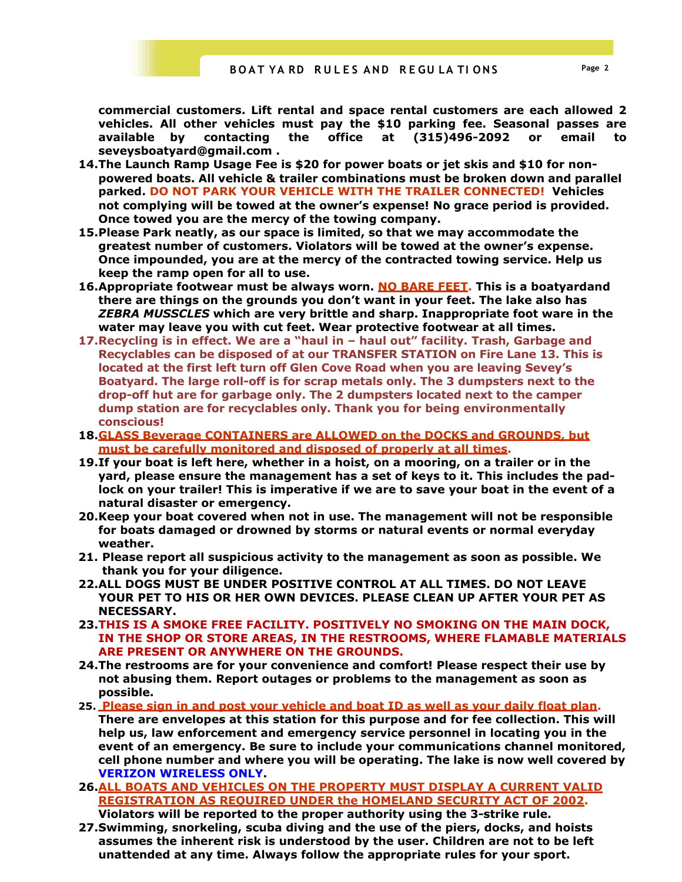**commercial customers. Lift rental and space rental customers are each allowed 2 vehicles. All other vehicles must pay the \$10 parking fee. Seasonal passes are available by contacting the office at (315)496-2092 or email to seveysboatyard@gmail.com .** 

- **14.The Launch Ramp Usage Fee is \$20 for power boats or jet skis and \$10 for nonpowered boats. All vehicle & trailer combinations must be broken down and parallel parked. DO NOT PARK YOUR VEHICLE WITH THE TRAILER CONNECTED! Vehicles not complying will be towed at the owner's expense! No grace period is provided. Once towed you are the mercy of the towing company.**
- **15.Please Park neatly, as our space is limited, so that we may accommodate the greatest number of customers. Violators will be towed at the owner's expense. Once impounded, you are at the mercy of the contracted towing service. Help us keep the ramp open for all to use.**
- **16. Appropriate footwear must be always worn. NO BARE FEET. This is a boatyardand there are things on the grounds you don't want in your feet. The lake also has**  *ZEBRA MUSSCLES* **which are very brittle and sharp. Inappropriate foot ware in the water may leave you with cut feet. Wear protective footwear at all times.**
- **17.Recycling is in effect. We are a "haul in haul out" facility. Trash, Garbage and Recyclables can be disposed of at our TRANSFER STATION on Fire Lane 13. This is located at the first left turn off Glen Cove Road when you are leaving Sevey's Boatyard. The large roll-off is for scrap metals only. The 3 dumpsters next to the drop-off hut are for garbage only. The 2 dumpsters located next to the camper dump station are for recyclables only. Thank you for being environmentally conscious!**
- **18.GLASS Beverage CONTAINERS are ALLOWED on the DOCKS and GROUNDS, but must be carefully monitored and disposed of properly at all times.**
- **19.If your boat is left here, whether in a hoist, on a mooring, on a trailer or in the yard, please ensure the management has a set of keys to it. This includes the padlock on your trailer! This is imperative if we are to save your boat in the event of a natural disaster or emergency.**
- **20.Keep your boat covered when not in use. The management will not be responsible for boats damaged or drowned by storms or natural events or normal everyday weather.**
- **21. Please report all suspicious activity to the management as soon as possible. We thank you for your diligence.**
- **22.ALL DOGS MUST BE UNDER POSITIVE CONTROL AT ALL TIMES. DO NOT LEAVE YOUR PET TO HIS OR HER OWN DEVICES. PLEASE CLEAN UP AFTER YOUR PET AS NECESSARY.**
- **23.THIS IS A SMOKE FREE FACILITY. POSITIVELY NO SMOKING ON THE MAIN DOCK, IN THE SHOP OR STORE AREAS, IN THE RESTROOMS, WHERE FLAMABLE MATERIALS ARE PRESENT OR ANYWHERE ON THE GROUNDS.**
- **24.The restrooms are for your convenience and comfort! Please respect their use by not abusing them. Report outages or problems to the management as soon as possible.**
- **25. Please sign in and post your vehicle and boat ID as well as your daily float plan. There are envelopes at this station for this purpose and for fee collection. This will help us, law enforcement and emergency service personnel in locating you in the event of an emergency. Be sure to include your communications channel monitored, cell phone number and where you will be operating. The lake is now well covered by VERIZON WIRELESS ONLY.**
- **26.ALL BOATS AND VEHICLES ON THE PROPERTY MUST DISPLAY A CURRENT VALID REGISTRATION AS REQUIRED UNDER the HOMELAND SECURITY ACT OF 2002. Violators will be reported to the proper authority using the 3-strike rule.**
- **27.Swimming, snorkeling, scuba diving and the use of the piers, docks, and hoists assumes the inherent risk is understood by the user. Children are not to be left unattended at any time. Always follow the appropriate rules for your sport.**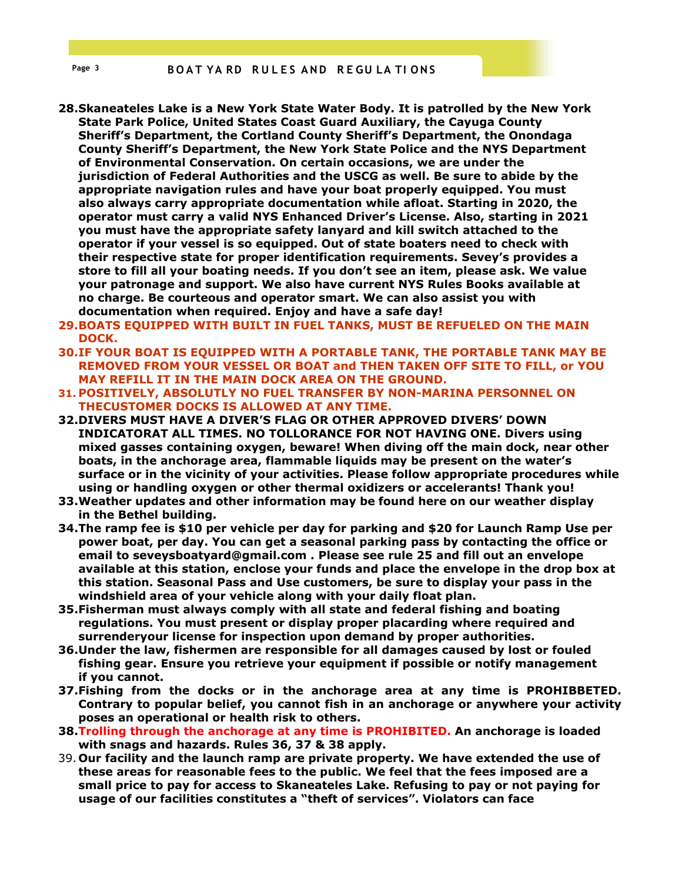- **28.Skaneateles Lake is a New York State Water Body. It is patrolled by the New York State Park Police, United States Coast Guard Auxiliary, the Cayuga County Sheriff's Department, the Cortland County Sheriff's Department, the Onondaga County Sheriff's Department, the New York State Police and the NYS Department of Environmental Conservation. On certain occasions, we are under the jurisdiction of Federal Authorities and the USCG as well. Be sure to abide by the appropriate navigation rules and have your boat properly equipped. You must also always carry appropriate documentation while afloat. Starting in 2020, the operator must carry a valid NYS Enhanced Driver's License. Also, starting in 2021 you must have the appropriate safety lanyard and kill switch attached to the operator if your vessel is so equipped. Out of state boaters need to check with their respective state for proper identification requirements. Sevey's provides a store to fill all your boating needs. If you don't see an item, please ask. We value your patronage and support. We also have current NYS Rules Books available at no charge. Be courteous and operator smart. We can also assist you with documentation when required. Enjoy and have a safe day!**
- **29.BOATS EQUIPPED WITH BUILT IN FUEL TANKS, MUST BE REFUELED ON THE MAIN DOCK.**
- **30.IF YOUR BOAT IS EQUIPPED WITH A PORTABLE TANK, THE PORTABLE TANK MAY BE REMOVED FROM YOUR VESSEL OR BOAT and THEN TAKEN OFF SITE TO FILL, or YOU MAY REFILL IT IN THE MAIN DOCK AREA ON THE GROUND.**
- **31. POSITIVELY, ABSOLUTLY NO FUEL TRANSFER BY NON-MARINA PERSONNEL ON THE CUSTOMER DOCKS IS ALLOWED AT ANY TIME.**
- **32.DIVERS MUST HAVE A DIVER'S FLAG OR OTHER APPROVED DIVERS' DOWN INDICATOR AT ALL TIMES. NO TOLLORANCE FOR NOT HAVING ONE. Divers using mixed gasses containing oxygen, beware! When diving off the main dock, near other boats, in the anchorage area, flammable liquids may be present on the water's surface or in the vicinity of your activities. Please follow appropriate procedures while using or handling oxygen or other thermal oxidizers or accelerants! Thank you!**
- **33.Weather updates and other information may be found here on our weather display in the Bethel building.**
- **34.The ramp fee is \$10 per vehicle per day for parking and \$20 for Launch Ramp Use per power boat, per day. You can get a seasonal parking pass by contacting the office or email to seveysboatyard@gmail.com . Please see rule 25 and fill out an envelope available at this station, enclose your funds and place the envelope in the drop box at this station. Seasonal Pass and Use customers, be sure to display your pass in the windshield area of your vehicle along with your daily float plan.**
- **35.Fisherman must always comply with all state and federal fishing and boating regulations. You must present or display proper placarding where required and surrender your license for inspection upon demand by proper authorities.**
- **36.Under the law, fishermen are responsible for all damages caused by lost or fouled fishing gear. Ensure you retrieve your equipment if possible or notify management if you cannot.**
- **37.Fishing from the docks or in the anchorage area at any time is PROHIBBETED. Contrary to popular belief, you cannot fish in an anchorage or anywhere your activity poses an operational or health risk to others.**
- **38.Trolling through the anchorage at any time is PROHIBITED. An anchorage is loaded with snags and hazards. Rules 36, 37 & 38 apply.**
- 39. **Our facility and the launch ramp are private property. We have extended the use of these areas for reasonable fees to the public. We feel that the fees imposed are a small price to pay for access to Skaneateles Lake. Refusing to pay or not paying for usage of our facilities constitutes a "theft of services". Violators can face**